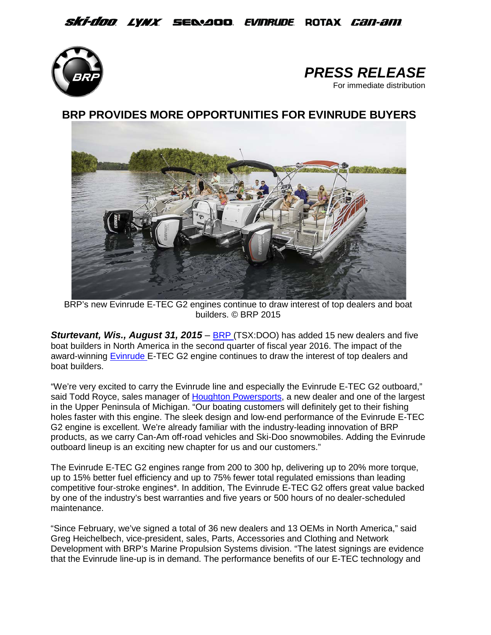## *Ski-doo lynx s*elaod *evinrude* rotax *can-am*





**BRP PROVIDES [MORE OPPORTUNITIES FOR EVINRUDE BUYER](http://evinrude.smartimage.com/thumbnail/dw01pe/1920px/Evinrude-E-TEC-G2)S**



BRP's new Evinrude E-TEC G2 engines continue to draw interest of top dealers and boat builders. © BRP 2015

**Sturtevant, Wis., August 31, 2015 – BRP** (TSX:DOO) has added 15 new dealers and five boat builders in North America in the second quarter of fiscal year 2016. The impact of the award-winning [Evinrude E](http://www.evinrude.com/)-TEC G2 engine continues to draw the interest of top dealers and boat builders.

"We're very excited to carry the Evinrude line and especially the Evinrude E-TEC G2 outboard," said Todd Royce, sales manager of [Houghton Powersports,](http://www.houghtonpowersports.com/) a new dealer and one of the largest in the Upper Peninsula of Michigan. "Our boating customers will definitely get to their fishing holes faster with this engine. The sleek design and low-end performance of the Evinrude E-TEC G2 engine is excellent. We're already familiar with the industry-leading innovation of BRP products, as we carry Can-Am off-road vehicles and Ski-Doo snowmobiles. Adding the Evinrude outboard lineup is an exciting new chapter for us and our customers."

The Evinrude E-TEC G2 engines range from 200 to 300 hp, delivering up to 20% more torque, up to 15% better fuel efficiency and up to 75% fewer total regulated emissions than leading competitive four-stroke engines\*. In addition, The Evinrude E-TEC G2 offers great value backed by one of the industry's best warranties and five years or 500 hours of no dealer-scheduled maintenance.

"Since February, we've signed a total of 36 new dealers and 13 OEMs in North America," said Greg Heichelbech, vice-president, sales, Parts, Accessories and Clothing and Network Development with BRP's Marine Propulsion Systems division. "The latest signings are evidence that the Evinrude line-up is in demand. The performance benefits of our E-TEC technology and